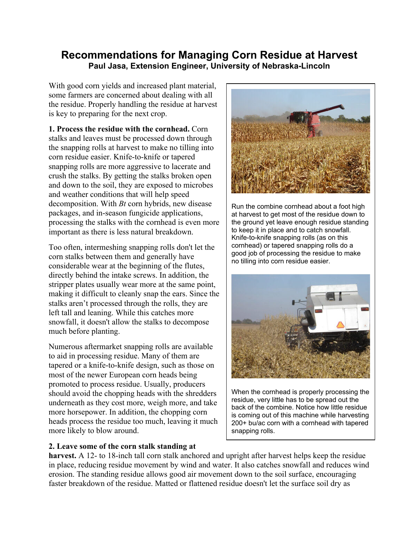## **Recommendations for Managing Corn Residue at Harvest Paul Jasa, Extension Engineer, University of Nebraska-Lincoln**

With good corn yields and increased plant material, some farmers are concerned about dealing with all the residue. Properly handling the residue at harvest is key to preparing for the next crop.

**1. Process the residue with the cornhead.** Corn stalks and leaves must be processed down through the snapping rolls at harvest to make no tilling into corn residue easier. Knife-to-knife or tapered snapping rolls are more aggressive to lacerate and crush the stalks. By getting the stalks broken open and down to the soil, they are exposed to microbes and weather conditions that will help speed decomposition. With *Bt* corn hybrids, new disease packages, and in-season fungicide applications, processing the stalks with the cornhead is even more important as there is less natural breakdown.

Too often, intermeshing snapping rolls don't let the corn stalks between them and generally have considerable wear at the beginning of the flutes, directly behind the intake screws. In addition, the stripper plates usually wear more at the same point, making it difficult to cleanly snap the ears. Since the stalks aren't processed through the rolls, they are left tall and leaning. While this catches more snowfall, it doesn't allow the stalks to decompose much before planting.

Numerous aftermarket snapping rolls are available to aid in processing residue. Many of them are tapered or a knife-to-knife design, such as those on most of the newer European corn heads being promoted to process residue. Usually, producers should avoid the chopping heads with the shredders underneath as they cost more, weigh more, and take more horsepower. In addition, the chopping corn heads process the residue too much, leaving it much more likely to blow around.

## **2. Leave some of the corn stalk standing at**



Run the combine cornhead about a foot high at harvest to get most of the residue down to the ground yet leave enough residue standing to keep it in place and to catch snowfall. Knife-to-knife snapping rolls (as on this cornhead) or tapered snapping rolls do a good job of processing the residue to make no tilling into corn residue easier.



When the cornhead is properly processing the residue, very little has to be spread out the back of the combine. Notice how little residue is coming out of this machine while harvesting 200+ bu/ac corn with a cornhead with tapered snapping rolls.

**harvest.** A 12- to 18-inch tall corn stalk anchored and upright after harvest helps keep the residue in place, reducing residue movement by wind and water. It also catches snowfall and reduces wind erosion. The standing residue allows good air movement down to the soil surface, encouraging faster breakdown of the residue. Matted or flattened residue doesn't let the surface soil dry as